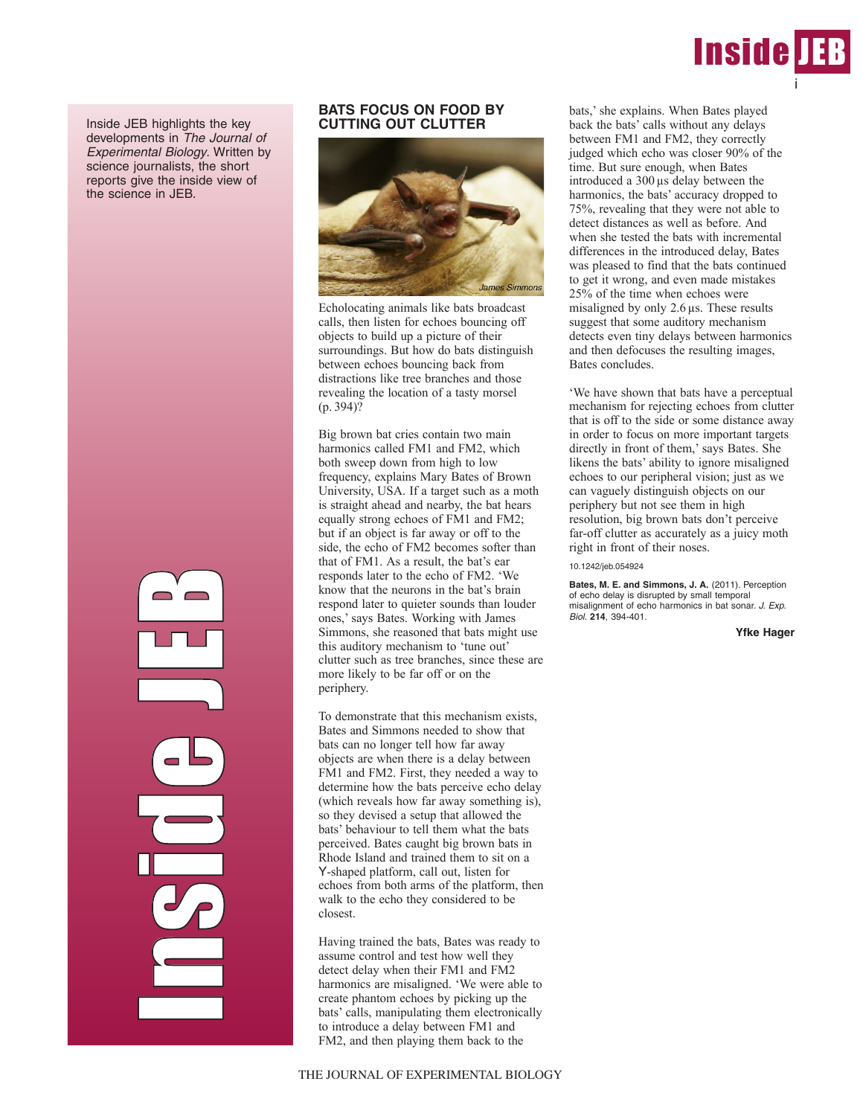

Inside JEB highlights the key developments in The Journal of Experimental Biology. Written by science journalists, the short reports give the inside view of the science in JEB.

> **Industrial n**  $\mathcal{C}_{\mathcal{P}}$ in 1999 and 1999 d<br>J e J EP)

## **BATS FOCUS ON FOOD BY CUTTING OUT CLUTTER**



Echolocating animals like bats broadcast calls, then listen for echoes bouncing off objects to build up a picture of their surroundings. But how do bats distinguish between echoes bouncing back from distractions like tree branches and those revealing the location of a tasty morsel  $(p. 394)$ ?

Big brown bat cries contain two main harmonics called FM1 and FM2, which both sweep down from high to low frequency, explains Mary Bates of Brown University, USA. If a target such as a moth is straight ahead and nearby, the bat hears equally strong echoes of FM1 and FM2; but if an object is far away or off to the side, the echo of FM2 becomes softer than that of FM1. As a result, the bat's ear responds later to the echo of FM2. 'We know that the neurons in the bat's brain respond later to quieter sounds than louder ones,' says Bates. Working with James Simmons, she reasoned that bats might use this auditory mechanism to 'tune out' clutter such as tree branches, since these are more likely to be far off or on the periphery.

To demonstrate that this mechanism exists, Bates and Simmons needed to show that bats can no longer tell how far away objects are when there is a delay between FM1 and FM2. First, they needed a way to determine how the bats perceive echo delay (which reveals how far away something is), so they devised a setup that allowed the bats' behaviour to tell them what the bats perceived. Bates caught big brown bats in Rhode Island and trained them to sit on a Y-shaped platform, call out, listen for echoes from both arms of the platform, then walk to the echo they considered to be closest.

Having trained the bats, Bates was ready to assume control and test how well they detect delay when their FM1 and FM2 harmonics are misaligned. 'We were able to create phantom echoes by picking up the bats' calls, manipulating them electronically to introduce a delay between FM1 and FM2, and then playing them back to the

bats,' she explains. When Bates played back the bats' calls without any delays between FM1 and FM2, they correctly judged which echo was closer 90% of the time. But sure enough, when Bates introduced a 300 µs delay between the harmonics, the bats' accuracy dropped to 75%, revealing that they were not able to detect distances as well as before. And when she tested the bats with incremental differences in the introduced delay, Bates was pleased to find that the bats continued to get it wrong, and even made mistakes 25% of the time when echoes were misaligned by only 2.6 µs. These results suggest that some auditory mechanism detects even tiny delays between harmonics and then defocuses the resulting images, Bates concludes.

'We have shown that bats have a perceptual mechanism for rejecting echoes from clutter that is off to the side or some distance away in order to focus on more important targets directly in front of them,' says Bates. She likens the bats' ability to ignore misaligned echoes to our peripheral vision; just as we can vaguely distinguish objects on our periphery but not see them in high resolution, big brown bats don't perceive far-off clutter as accurately as a juicy moth right in front of their noses.

10.1242/jeb.054924

**Bates, M. E. and Simmons, J. A.** (2011). Perception of echo delay is disrupted by small temporal misalignment of echo harmonics in bat sonar. J. Exp. Biol. **214**, 394-401.

**Yfke Hager**